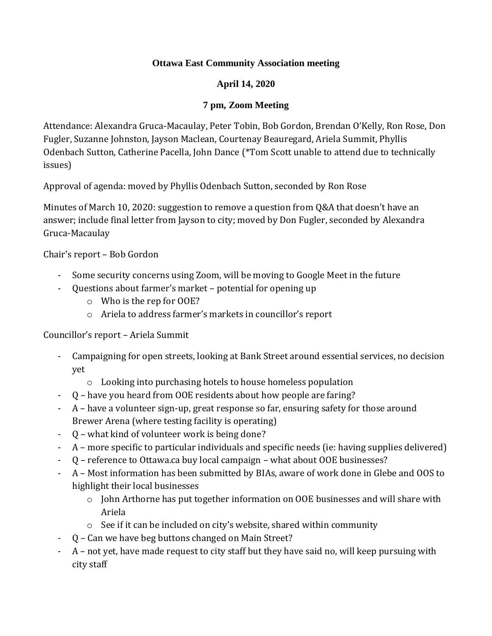### **Ottawa East Community Association meeting**

# **April 14, 2020**

# **7 pm, Zoom Meeting**

Attendance: Alexandra Gruca-Macaulay, Peter Tobin, Bob Gordon, Brendan O'Kelly, Ron Rose, Don Fugler, Suzanne Johnston, Jayson Maclean, Courtenay Beauregard, Ariela Summit, Phyllis Odenbach Sutton, Catherine Pacella, John Dance (\*Tom Scott unable to attend due to technically issues)

Approval of agenda: moved by Phyllis Odenbach Sutton, seconded by Ron Rose

Minutes of March 10, 2020: suggestion to remove a question from Q&A that doesn't have an answer; include final letter from Jayson to city; moved by Don Fugler, seconded by Alexandra Gruca-Macaulay

Chair's report – Bob Gordon

- Some security concerns using Zoom, will be moving to Google Meet in the future
- Questions about farmer's market potential for opening up
	- o Who is the rep for OOE?
	- o Ariela to address farmer's markets in councillor's report

# Councillor's report – Ariela Summit

- Campaigning for open streets, looking at Bank Street around essential services, no decision yet
	- o Looking into purchasing hotels to house homeless population
- Q have you heard from OOE residents about how people are faring?
- A have a volunteer sign-up, great response so far, ensuring safety for those around Brewer Arena (where testing facility is operating)
- Q what kind of volunteer work is being done?
- A more specific to particular individuals and specific needs (ie: having supplies delivered)
- Q reference to Ottawa.ca buy local campaign what about OOE businesses?
- A Most information has been submitted by BIAs, aware of work done in Glebe and OOS to highlight their local businesses
	- o John Arthorne has put together information on OOE businesses and will share with Ariela
	- o See if it can be included on city's website, shared within community
- Q Can we have beg buttons changed on Main Street?
- A not yet, have made request to city staff but they have said no, will keep pursuing with city staff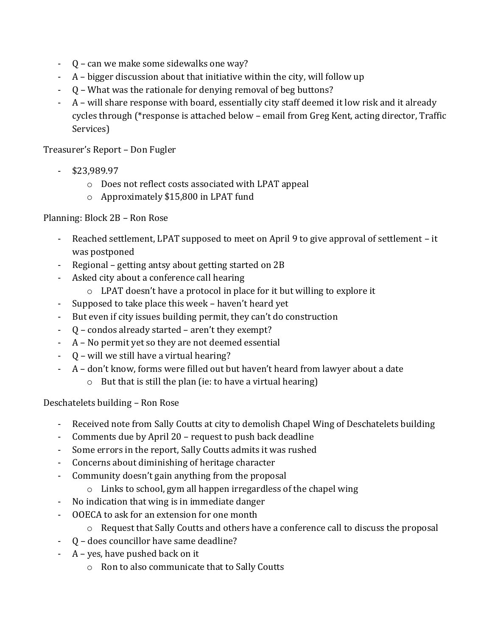- Q can we make some sidewalks one way?
- A bigger discussion about that initiative within the city, will follow up
- Q What was the rationale for denying removal of beg buttons?
- A will share response with board, essentially city staff deemed it low risk and it already cycles through (\*response is attached below – email from Greg Kent, acting director, Traffic Services)

Treasurer's Report – Don Fugler

- \$23,989.97
	- o Does not reflect costs associated with LPAT appeal
	- o Approximately \$15,800 in LPAT fund

### Planning: Block 2B – Ron Rose

- Reached settlement, LPAT supposed to meet on April 9 to give approval of settlement it was postponed
- Regional getting antsy about getting started on 2B
- Asked city about a conference call hearing
	- o LPAT doesn't have a protocol in place for it but willing to explore it
- Supposed to take place this week haven't heard yet
- But even if city issues building permit, they can't do construction
- Q condos already started aren't they exempt?
- A No permit yet so they are not deemed essential
- Q will we still have a virtual hearing?
	- A don't know, forms were filled out but haven't heard from lawyer about a date
		- $\circ$  But that is still the plan (ie: to have a virtual hearing)

Deschatelets building – Ron Rose

- Received note from Sally Coutts at city to demolish Chapel Wing of Deschatelets building
- Comments due by April 20 request to push back deadline
- Some errors in the report, Sally Coutts admits it was rushed
- Concerns about diminishing of heritage character
- Community doesn't gain anything from the proposal
	- o Links to school, gym all happen irregardless of the chapel wing
- No indication that wing is in immediate danger
- OOECA to ask for an extension for one month
	- o Request that Sally Coutts and others have a conference call to discuss the proposal
- Q does councillor have same deadline?
- $A$  yes, have pushed back on it
	- o Ron to also communicate that to Sally Coutts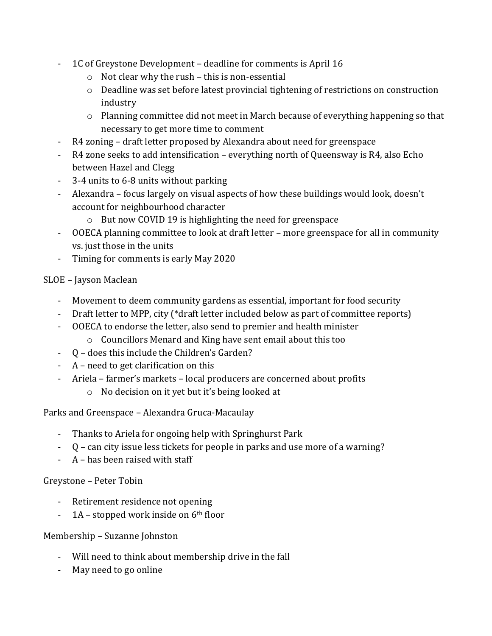- 1C of Greystone Development deadline for comments is April 16
	- o Not clear why the rush this is non-essential
	- $\circ$  Deadline was set before latest provincial tightening of restrictions on construction industry
	- o Planning committee did not meet in March because of everything happening so that necessary to get more time to comment
- R4 zoning draft letter proposed by Alexandra about need for greenspace
- R4 zone seeks to add intensification everything north of Queensway is R4, also Echo between Hazel and Clegg
- 3-4 units to 6-8 units without parking
- Alexandra focus largely on visual aspects of how these buildings would look, doesn't account for neighbourhood character
	- o But now COVID 19 is highlighting the need for greenspace
- OOECA planning committee to look at draft letter more greenspace for all in community vs. just those in the units
- Timing for comments is early May 2020

# SLOE – Jayson Maclean

- Movement to deem community gardens as essential, important for food security
- Draft letter to MPP, city (\*draft letter included below as part of committee reports)
- OOECA to endorse the letter, also send to premier and health minister
	- o Councillors Menard and King have sent email about this too
- Q does this include the Children's Garden?
- A need to get clarification on this
- Ariela farmer's markets local producers are concerned about profits
	- o No decision on it yet but it's being looked at

Parks and Greenspace – Alexandra Gruca-Macaulay

- Thanks to Ariela for ongoing help with Springhurst Park
- Q can city issue less tickets for people in parks and use more of a warning?
- A has been raised with staff

# Greystone – Peter Tobin

- Retirement residence not opening
- $-1A$  stopped work inside on  $6<sup>th</sup>$  floor

# Membership – Suzanne Johnston

- Will need to think about membership drive in the fall
- May need to go online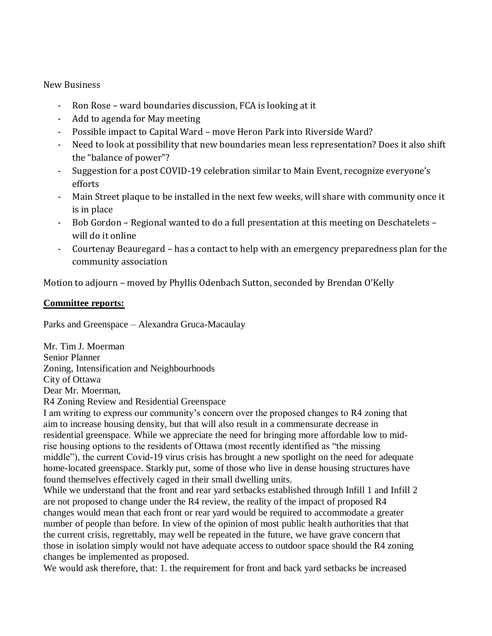New Business

- Ron Rose ward boundaries discussion, FCA is looking at it
- Add to agenda for May meeting
- Possible impact to Capital Ward move Heron Park into Riverside Ward?
- Need to look at possibility that new boundaries mean less representation? Does it also shift the "balance of power"?
- Suggestion for a post COVID-19 celebration similar to Main Event, recognize everyone's efforts
- Main Street plaque to be installed in the next few weeks, will share with community once it is in place
- Bob Gordon Regional wanted to do a full presentation at this meeting on Deschatelets will do it online
- Courtenay Beauregard has a contact to help with an emergency preparedness plan for the community association

Motion to adjourn – moved by Phyllis Odenbach Sutton, seconded by Brendan O'Kelly

#### **Committee reports:**

Parks and Greenspace – Alexandra Gruca-Macaulay

Mr. Tim J. Moerman Senior Planner Zoning, Intensification and Neighbourhoods City of Ottawa Dear Mr. Moerman, R4 Zoning Review and Residential Greenspace

I am writing to express our community's concern over the proposed changes to R4 zoning that aim to increase housing density, but that will also result in a commensurate decrease in residential greenspace. While we appreciate the need for bringing more affordable low to midrise housing options to the residents of Ottawa (most recently identified as "the missing middle"), the current Covid-19 virus crisis has brought a new spotlight on the need for adequate home-located greenspace. Starkly put, some of those who live in dense housing structures have found themselves effectively caged in their small dwelling units.

While we understand that the front and rear yard setbacks established through Infill 1 and Infill 2 are not proposed to change under the R4 review, the reality of the impact of proposed R4 changes would mean that each front or rear yard would be required to accommodate a greater number of people than before. In view of the opinion of most public health authorities that that the current crisis, regrettably, may well be repeated in the future, we have grave concern that those in isolation simply would not have adequate access to outdoor space should the R4 zoning changes be implemented as proposed.

We would ask therefore, that: 1. the requirement for front and back yard setbacks be increased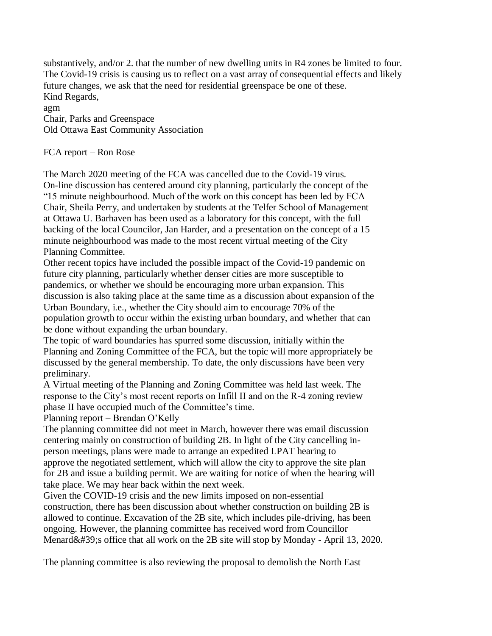substantively, and/or 2. that the number of new dwelling units in R4 zones be limited to four. The Covid-19 crisis is causing us to reflect on a vast array of consequential effects and likely future changes, we ask that the need for residential greenspace be one of these. Kind Regards,

agm Chair, Parks and Greenspace Old Ottawa East Community Association

FCA report – Ron Rose

The March 2020 meeting of the FCA was cancelled due to the Covid-19 virus. On-line discussion has centered around city planning, particularly the concept of the "15 minute neighbourhood. Much of the work on this concept has been led by FCA Chair, Sheila Perry, and undertaken by students at the Telfer School of Management at Ottawa U. Barhaven has been used as a laboratory for this concept, with the full backing of the local Councilor, Jan Harder, and a presentation on the concept of a 15 minute neighbourhood was made to the most recent virtual meeting of the City Planning Committee.

Other recent topics have included the possible impact of the Covid-19 pandemic on future city planning, particularly whether denser cities are more susceptible to pandemics, or whether we should be encouraging more urban expansion. This discussion is also taking place at the same time as a discussion about expansion of the Urban Boundary, i.e., whether the City should aim to encourage 70% of the population growth to occur within the existing urban boundary, and whether that can be done without expanding the urban boundary.

The topic of ward boundaries has spurred some discussion, initially within the Planning and Zoning Committee of the FCA, but the topic will more appropriately be discussed by the general membership. To date, the only discussions have been very preliminary.

A Virtual meeting of the Planning and Zoning Committee was held last week. The response to the City's most recent reports on Infill II and on the R-4 zoning review phase II have occupied much of the Committee's time.

Planning report – Brendan O'Kelly

The planning committee did not meet in March, however there was email discussion centering mainly on construction of building 2B. In light of the City cancelling inperson meetings, plans were made to arrange an expedited LPAT hearing to approve the negotiated settlement, which will allow the city to approve the site plan for 2B and issue a building permit. We are waiting for notice of when the hearing will take place. We may hear back within the next week.

Given the COVID-19 crisis and the new limits imposed on non-essential construction, there has been discussion about whether construction on building 2B is allowed to continue. Excavation of the 2B site, which includes pile-driving, has been ongoing. However, the planning committee has received word from Councillor Menard $&\#39$ ; s office that all work on the 2B site will stop by Monday - April 13, 2020.

The planning committee is also reviewing the proposal to demolish the North East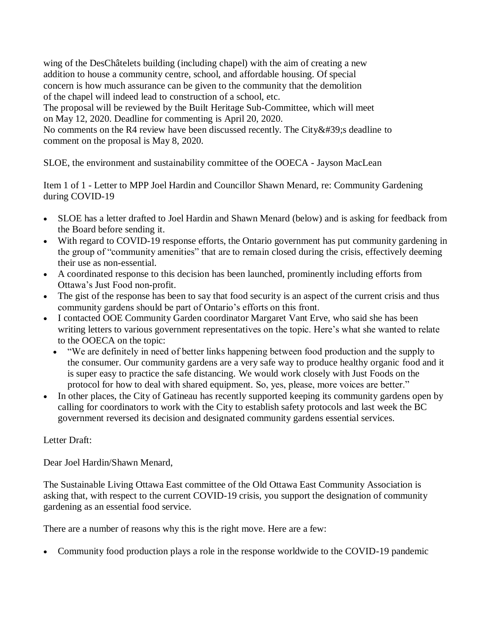wing of the DesChâtelets building (including chapel) with the aim of creating a new addition to house a community centre, school, and affordable housing. Of special concern is how much assurance can be given to the community that the demolition of the chapel will indeed lead to construction of a school, etc.

The proposal will be reviewed by the Built Heritage Sub-Committee, which will meet on May 12, 2020. Deadline for commenting is April 20, 2020.

No comments on the R4 review have been discussed recently. The City  $&\#39$ ; deadline to comment on the proposal is May 8, 2020.

SLOE, the environment and sustainability committee of the OOECA - Jayson MacLean

Item 1 of 1 - Letter to MPP Joel Hardin and Councillor Shawn Menard, re: Community Gardening during COVID-19

- SLOE has a letter drafted to Joel Hardin and Shawn Menard (below) and is asking for feedback from the Board before sending it.
- With regard to COVID-19 response efforts, the Ontario government has put community gardening in the group of "community amenities" that are to remain closed during the crisis, effectively deeming their use as non-essential.
- A coordinated response to this decision has been launched, prominently including efforts from Ottawa's Just Food non-profit.
- The gist of the response has been to say that food security is an aspect of the current crisis and thus community gardens should be part of Ontario's efforts on this front.
- I contacted OOE Community Garden coordinator Margaret Vant Erve, who said she has been writing letters to various government representatives on the topic. Here's what she wanted to relate to the OOECA on the topic:
	- "We are definitely in need of better links happening between food production and the supply to the consumer. Our community gardens are a very safe way to produce healthy organic food and it is super easy to practice the safe distancing. We would work closely with Just Foods on the protocol for how to deal with shared equipment. So, yes, please, more voices are better."
- In other places, the City of Gatineau has recently supported keeping its community gardens open by calling for coordinators to work with the City to establish safety protocols and last week the BC government reversed its decision and designated community gardens essential services.

# Letter Draft:

Dear Joel Hardin/Shawn Menard,

The Sustainable Living Ottawa East committee of the Old Ottawa East Community Association is asking that, with respect to the current COVID-19 crisis, you support the designation of community gardening as an essential food service.

There are a number of reasons why this is the right move. Here are a few:

Community food production plays a role in the response worldwide to the COVID-19 pandemic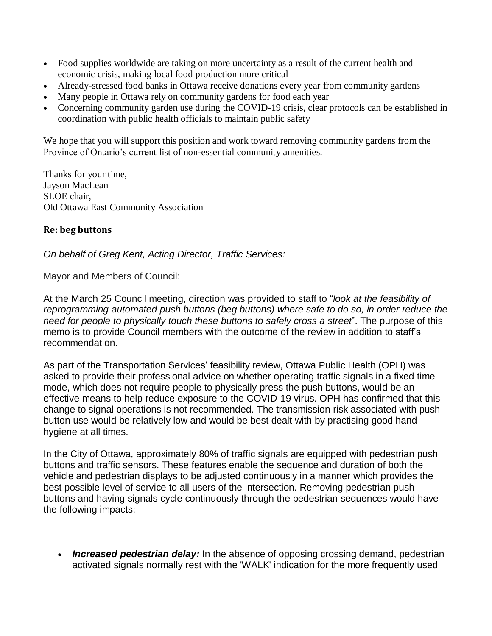- Food supplies worldwide are taking on more uncertainty as a result of the current health and economic crisis, making local food production more critical
- Already-stressed food banks in Ottawa receive donations every year from community gardens
- Many people in Ottawa rely on community gardens for food each year
- Concerning community garden use during the COVID-19 crisis, clear protocols can be established in coordination with public health officials to maintain public safety

We hope that you will support this position and work toward removing community gardens from the Province of Ontario's current list of non-essential community amenities.

Thanks for your time, Jayson MacLean SLOE chair, Old Ottawa East Community Association

#### **Re: beg buttons**

*On behalf of Greg Kent, Acting Director, Traffic Services:*

Mayor and Members of Council:

At the March 25 Council meeting, direction was provided to staff to "*look at the feasibility of reprogramming automated push buttons (beg buttons) where safe to do so, in order reduce the need for people to physically touch these buttons to safely cross a street*". The purpose of this memo is to provide Council members with the outcome of the review in addition to staff's recommendation.

As part of the Transportation Services' feasibility review, Ottawa Public Health (OPH) was asked to provide their professional advice on whether operating traffic signals in a fixed time mode, which does not require people to physically press the push buttons, would be an effective means to help reduce exposure to the COVID-19 virus. OPH has confirmed that this change to signal operations is not recommended. The transmission risk associated with push button use would be relatively low and would be best dealt with by practising good hand hygiene at all times.

In the City of Ottawa, approximately 80% of traffic signals are equipped with pedestrian push buttons and traffic sensors. These features enable the sequence and duration of both the vehicle and pedestrian displays to be adjusted continuously in a manner which provides the best possible level of service to all users of the intersection. Removing pedestrian push buttons and having signals cycle continuously through the pedestrian sequences would have the following impacts:

 *Increased pedestrian delay:* In the absence of opposing crossing demand, pedestrian activated signals normally rest with the 'WALK' indication for the more frequently used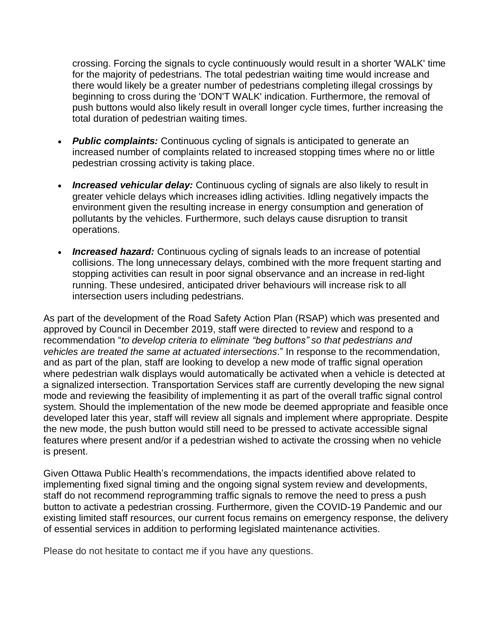crossing. Forcing the signals to cycle continuously would result in a shorter 'WALK' time for the majority of pedestrians. The total pedestrian waiting time would increase and there would likely be a greater number of pedestrians completing illegal crossings by beginning to cross during the 'DON'T WALK' indication. Furthermore, the removal of push buttons would also likely result in overall longer cycle times, further increasing the total duration of pedestrian waiting times.

- *Public complaints:* Continuous cycling of signals is anticipated to generate an increased number of complaints related to increased stopping times where no or little pedestrian crossing activity is taking place.
- *Increased vehicular delay:* Continuous cycling of signals are also likely to result in greater vehicle delays which increases idling activities. Idling negatively impacts the environment given the resulting increase in energy consumption and generation of pollutants by the vehicles. Furthermore, such delays cause disruption to transit operations.
- *Increased hazard:* Continuous cycling of signals leads to an increase of potential collisions. The long unnecessary delays, combined with the more frequent starting and stopping activities can result in poor signal observance and an increase in red-light running. These undesired, anticipated driver behaviours will increase risk to all intersection users including pedestrians.

As part of the development of the Road Safety Action Plan (RSAP) which was presented and approved by Council in December 2019, staff were directed to review and respond to a recommendation "*to develop criteria to eliminate "beg buttons" so that pedestrians and vehicles are treated the same at actuated intersections*." In response to the recommendation, and as part of the plan, staff are looking to develop a new mode of traffic signal operation where pedestrian walk displays would automatically be activated when a vehicle is detected at a signalized intersection. Transportation Services staff are currently developing the new signal mode and reviewing the feasibility of implementing it as part of the overall traffic signal control system. Should the implementation of the new mode be deemed appropriate and feasible once developed later this year, staff will review all signals and implement where appropriate. Despite the new mode, the push button would still need to be pressed to activate accessible signal features where present and/or if a pedestrian wished to activate the crossing when no vehicle is present.

Given Ottawa Public Health's recommendations, the impacts identified above related to implementing fixed signal timing and the ongoing signal system review and developments, staff do not recommend reprogramming traffic signals to remove the need to press a push button to activate a pedestrian crossing. Furthermore, given the COVID-19 Pandemic and our existing limited staff resources, our current focus remains on emergency response, the delivery of essential services in addition to performing legislated maintenance activities.

Please do not hesitate to contact me if you have any questions.